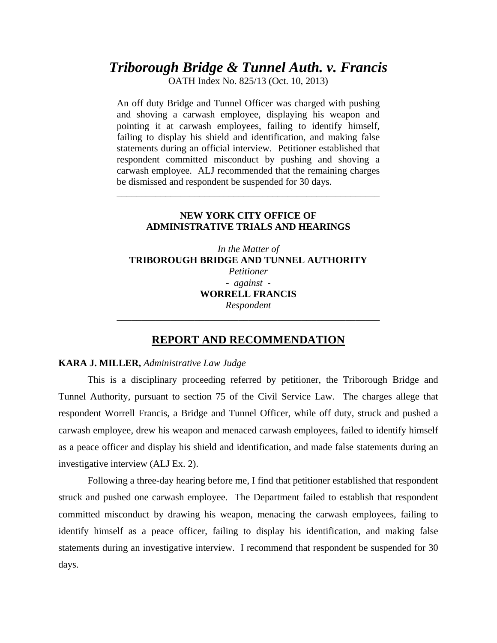# *Triborough Bridge & Tunnel Auth. v. Francis*

OATH Index No. 825/13 (Oct. 10, 2013)

An off duty Bridge and Tunnel Officer was charged with pushing and shoving a carwash employee, displaying his weapon and pointing it at carwash employees, failing to identify himself, failing to display his shield and identification, and making false statements during an official interview. Petitioner established that respondent committed misconduct by pushing and shoving a carwash employee. ALJ recommended that the remaining charges be dismissed and respondent be suspended for 30 days.

# **NEW YORK CITY OFFICE OF ADMINISTRATIVE TRIALS AND HEARINGS**

\_\_\_\_\_\_\_\_\_\_\_\_\_\_\_\_\_\_\_\_\_\_\_\_\_\_\_\_\_\_\_\_\_\_\_\_\_\_\_\_\_\_\_\_\_\_\_\_\_\_\_\_\_\_

*In the Matter of*  **TRIBOROUGH BRIDGE AND TUNNEL AUTHORITY**  *Petitioner - against -*  **WORRELL FRANCIS**  *Respondent*  \_\_\_\_\_\_\_\_\_\_\_\_\_\_\_\_\_\_\_\_\_\_\_\_\_\_\_\_\_\_\_\_\_\_\_\_\_\_\_\_\_\_\_\_\_\_\_\_\_\_\_\_\_\_

# **REPORT AND RECOMMENDATION**

## **KARA J. MILLER,** *Administrative Law Judge*

 This is a disciplinary proceeding referred by petitioner, the Triborough Bridge and Tunnel Authority, pursuant to section 75 of the Civil Service Law. The charges allege that respondent Worrell Francis, a Bridge and Tunnel Officer, while off duty, struck and pushed a carwash employee, drew his weapon and menaced carwash employees, failed to identify himself as a peace officer and display his shield and identification, and made false statements during an investigative interview (ALJ Ex. 2).

Following a three-day hearing before me, I find that petitioner established that respondent struck and pushed one carwash employee. The Department failed to establish that respondent committed misconduct by drawing his weapon, menacing the carwash employees, failing to identify himself as a peace officer, failing to display his identification, and making false statements during an investigative interview. I recommend that respondent be suspended for 30 days.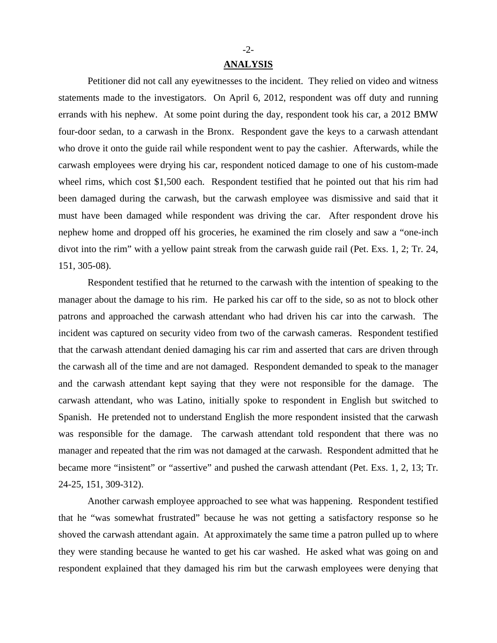## **ANALYSIS**

Petitioner did not call any eyewitnesses to the incident. They relied on video and witness statements made to the investigators. On April 6, 2012, respondent was off duty and running errands with his nephew. At some point during the day, respondent took his car, a 2012 BMW four-door sedan, to a carwash in the Bronx. Respondent gave the keys to a carwash attendant who drove it onto the guide rail while respondent went to pay the cashier. Afterwards, while the carwash employees were drying his car, respondent noticed damage to one of his custom-made wheel rims, which cost \$1,500 each. Respondent testified that he pointed out that his rim had been damaged during the carwash, but the carwash employee was dismissive and said that it must have been damaged while respondent was driving the car. After respondent drove his nephew home and dropped off his groceries, he examined the rim closely and saw a "one-inch divot into the rim" with a yellow paint streak from the carwash guide rail (Pet. Exs. 1, 2; Tr. 24, 151, 305-08).

Respondent testified that he returned to the carwash with the intention of speaking to the manager about the damage to his rim. He parked his car off to the side, so as not to block other patrons and approached the carwash attendant who had driven his car into the carwash. The incident was captured on security video from two of the carwash cameras. Respondent testified that the carwash attendant denied damaging his car rim and asserted that cars are driven through the carwash all of the time and are not damaged. Respondent demanded to speak to the manager and the carwash attendant kept saying that they were not responsible for the damage. The carwash attendant, who was Latino, initially spoke to respondent in English but switched to Spanish. He pretended not to understand English the more respondent insisted that the carwash was responsible for the damage. The carwash attendant told respondent that there was no manager and repeated that the rim was not damaged at the carwash. Respondent admitted that he became more "insistent" or "assertive" and pushed the carwash attendant (Pet. Exs. 1, 2, 13; Tr. 24-25, 151, 309-312).

Another carwash employee approached to see what was happening. Respondent testified that he "was somewhat frustrated" because he was not getting a satisfactory response so he shoved the carwash attendant again. At approximately the same time a patron pulled up to where they were standing because he wanted to get his car washed. He asked what was going on and respondent explained that they damaged his rim but the carwash employees were denying that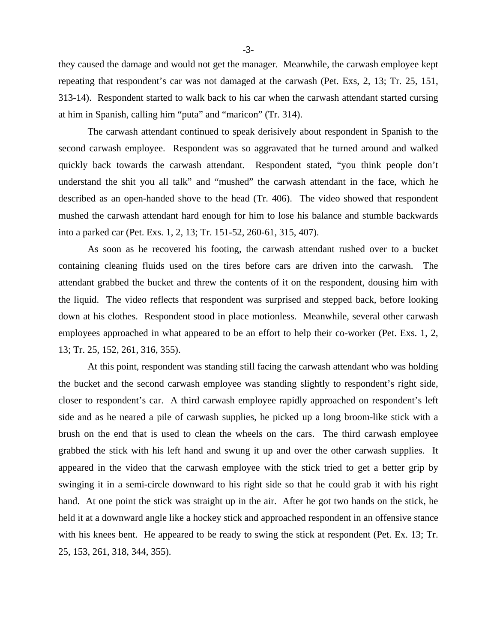they caused the damage and would not get the manager. Meanwhile, the carwash employee kept repeating that respondent's car was not damaged at the carwash (Pet. Exs, 2, 13; Tr. 25, 151, 313-14). Respondent started to walk back to his car when the carwash attendant started cursing at him in Spanish, calling him "puta" and "maricon" (Tr. 314).

The carwash attendant continued to speak derisively about respondent in Spanish to the second carwash employee. Respondent was so aggravated that he turned around and walked quickly back towards the carwash attendant. Respondent stated, "you think people don't understand the shit you all talk" and "mushed" the carwash attendant in the face, which he described as an open-handed shove to the head (Tr. 406). The video showed that respondent mushed the carwash attendant hard enough for him to lose his balance and stumble backwards into a parked car (Pet. Exs. 1, 2, 13; Tr. 151-52, 260-61, 315, 407).

As soon as he recovered his footing, the carwash attendant rushed over to a bucket containing cleaning fluids used on the tires before cars are driven into the carwash. The attendant grabbed the bucket and threw the contents of it on the respondent, dousing him with the liquid. The video reflects that respondent was surprised and stepped back, before looking down at his clothes. Respondent stood in place motionless. Meanwhile, several other carwash employees approached in what appeared to be an effort to help their co-worker (Pet. Exs. 1, 2, 13; Tr. 25, 152, 261, 316, 355).

At this point, respondent was standing still facing the carwash attendant who was holding the bucket and the second carwash employee was standing slightly to respondent's right side, closer to respondent's car. A third carwash employee rapidly approached on respondent's left side and as he neared a pile of carwash supplies, he picked up a long broom-like stick with a brush on the end that is used to clean the wheels on the cars. The third carwash employee grabbed the stick with his left hand and swung it up and over the other carwash supplies. It appeared in the video that the carwash employee with the stick tried to get a better grip by swinging it in a semi-circle downward to his right side so that he could grab it with his right hand. At one point the stick was straight up in the air. After he got two hands on the stick, he held it at a downward angle like a hockey stick and approached respondent in an offensive stance with his knees bent. He appeared to be ready to swing the stick at respondent (Pet. Ex. 13; Tr. 25, 153, 261, 318, 344, 355).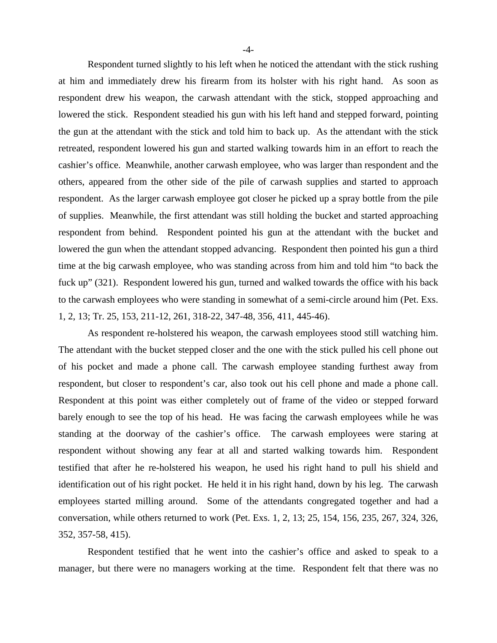Respondent turned slightly to his left when he noticed the attendant with the stick rushing at him and immediately drew his firearm from its holster with his right hand. As soon as respondent drew his weapon, the carwash attendant with the stick, stopped approaching and lowered the stick. Respondent steadied his gun with his left hand and stepped forward, pointing the gun at the attendant with the stick and told him to back up. As the attendant with the stick retreated, respondent lowered his gun and started walking towards him in an effort to reach the cashier's office. Meanwhile, another carwash employee, who was larger than respondent and the others, appeared from the other side of the pile of carwash supplies and started to approach respondent. As the larger carwash employee got closer he picked up a spray bottle from the pile of supplies. Meanwhile, the first attendant was still holding the bucket and started approaching respondent from behind. Respondent pointed his gun at the attendant with the bucket and lowered the gun when the attendant stopped advancing. Respondent then pointed his gun a third time at the big carwash employee, who was standing across from him and told him "to back the fuck up" (321). Respondent lowered his gun, turned and walked towards the office with his back to the carwash employees who were standing in somewhat of a semi-circle around him (Pet. Exs. 1, 2, 13; Tr. 25, 153, 211-12, 261, 318-22, 347-48, 356, 411, 445-46).

As respondent re-holstered his weapon, the carwash employees stood still watching him. The attendant with the bucket stepped closer and the one with the stick pulled his cell phone out of his pocket and made a phone call. The carwash employee standing furthest away from respondent, but closer to respondent's car, also took out his cell phone and made a phone call. Respondent at this point was either completely out of frame of the video or stepped forward barely enough to see the top of his head. He was facing the carwash employees while he was standing at the doorway of the cashier's office. The carwash employees were staring at respondent without showing any fear at all and started walking towards him. Respondent testified that after he re-holstered his weapon, he used his right hand to pull his shield and identification out of his right pocket. He held it in his right hand, down by his leg. The carwash employees started milling around. Some of the attendants congregated together and had a conversation, while others returned to work (Pet. Exs. 1, 2, 13; 25, 154, 156, 235, 267, 324, 326, 352, 357-58, 415).

Respondent testified that he went into the cashier's office and asked to speak to a manager, but there were no managers working at the time. Respondent felt that there was no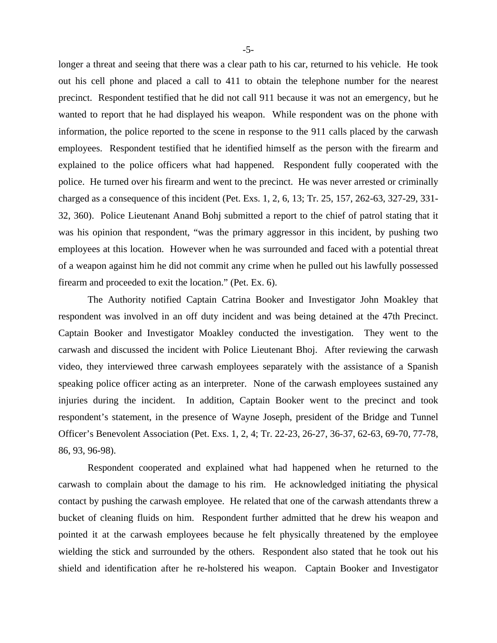longer a threat and seeing that there was a clear path to his car, returned to his vehicle. He took out his cell phone and placed a call to 411 to obtain the telephone number for the nearest precinct. Respondent testified that he did not call 911 because it was not an emergency, but he wanted to report that he had displayed his weapon. While respondent was on the phone with information, the police reported to the scene in response to the 911 calls placed by the carwash employees. Respondent testified that he identified himself as the person with the firearm and explained to the police officers what had happened. Respondent fully cooperated with the police. He turned over his firearm and went to the precinct. He was never arrested or criminally charged as a consequence of this incident (Pet. Exs. 1, 2, 6, 13; Tr. 25, 157, 262-63, 327-29, 331- 32, 360). Police Lieutenant Anand Bohj submitted a report to the chief of patrol stating that it was his opinion that respondent, "was the primary aggressor in this incident, by pushing two employees at this location. However when he was surrounded and faced with a potential threat of a weapon against him he did not commit any crime when he pulled out his lawfully possessed firearm and proceeded to exit the location." (Pet. Ex. 6).

The Authority notified Captain Catrina Booker and Investigator John Moakley that respondent was involved in an off duty incident and was being detained at the 47th Precinct. Captain Booker and Investigator Moakley conducted the investigation. They went to the carwash and discussed the incident with Police Lieutenant Bhoj. After reviewing the carwash video, they interviewed three carwash employees separately with the assistance of a Spanish speaking police officer acting as an interpreter. None of the carwash employees sustained any injuries during the incident. In addition, Captain Booker went to the precinct and took respondent's statement, in the presence of Wayne Joseph, president of the Bridge and Tunnel Officer's Benevolent Association (Pet. Exs. 1, 2, 4; Tr. 22-23, 26-27, 36-37, 62-63, 69-70, 77-78, 86, 93, 96-98).

Respondent cooperated and explained what had happened when he returned to the carwash to complain about the damage to his rim. He acknowledged initiating the physical contact by pushing the carwash employee. He related that one of the carwash attendants threw a bucket of cleaning fluids on him. Respondent further admitted that he drew his weapon and pointed it at the carwash employees because he felt physically threatened by the employee wielding the stick and surrounded by the others. Respondent also stated that he took out his shield and identification after he re-holstered his weapon. Captain Booker and Investigator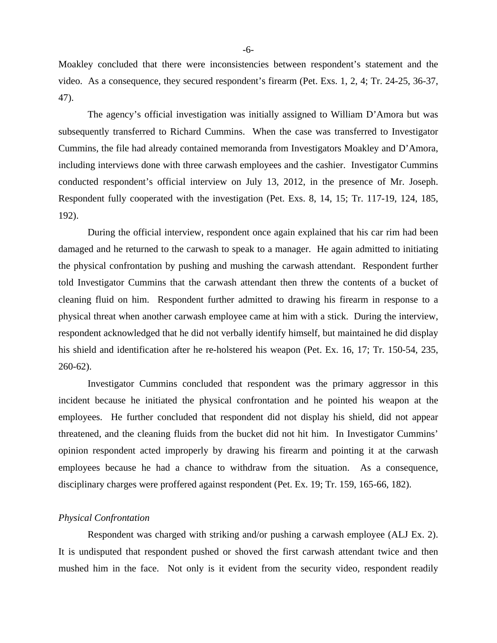Moakley concluded that there were inconsistencies between respondent's statement and the video. As a consequence, they secured respondent's firearm (Pet. Exs. 1, 2, 4; Tr. 24-25, 36-37, 47).

The agency's official investigation was initially assigned to William D'Amora but was subsequently transferred to Richard Cummins. When the case was transferred to Investigator Cummins, the file had already contained memoranda from Investigators Moakley and D'Amora, including interviews done with three carwash employees and the cashier. Investigator Cummins conducted respondent's official interview on July 13, 2012, in the presence of Mr. Joseph. Respondent fully cooperated with the investigation (Pet. Exs. 8, 14, 15; Tr. 117-19, 124, 185, 192).

During the official interview, respondent once again explained that his car rim had been damaged and he returned to the carwash to speak to a manager. He again admitted to initiating the physical confrontation by pushing and mushing the carwash attendant. Respondent further told Investigator Cummins that the carwash attendant then threw the contents of a bucket of cleaning fluid on him. Respondent further admitted to drawing his firearm in response to a physical threat when another carwash employee came at him with a stick. During the interview, respondent acknowledged that he did not verbally identify himself, but maintained he did display his shield and identification after he re-holstered his weapon (Pet. Ex. 16, 17; Tr. 150-54, 235, 260-62).

Investigator Cummins concluded that respondent was the primary aggressor in this incident because he initiated the physical confrontation and he pointed his weapon at the employees. He further concluded that respondent did not display his shield, did not appear threatened, and the cleaning fluids from the bucket did not hit him. In Investigator Cummins' opinion respondent acted improperly by drawing his firearm and pointing it at the carwash employees because he had a chance to withdraw from the situation. As a consequence, disciplinary charges were proffered against respondent (Pet. Ex. 19; Tr. 159, 165-66, 182).

#### *Physical Confrontation*

Respondent was charged with striking and/or pushing a carwash employee (ALJ Ex. 2). It is undisputed that respondent pushed or shoved the first carwash attendant twice and then mushed him in the face. Not only is it evident from the security video, respondent readily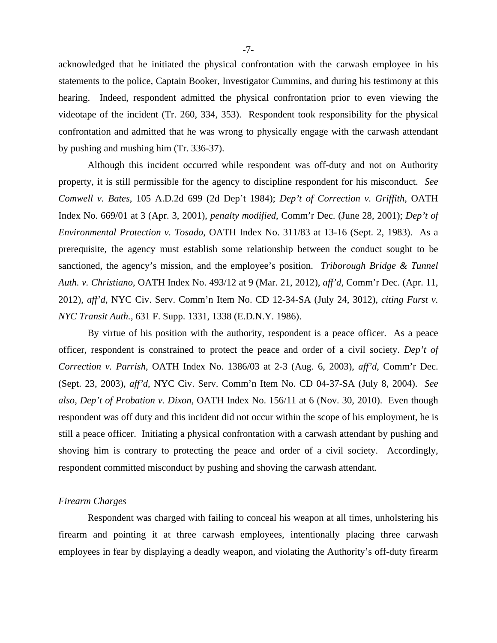acknowledged that he initiated the physical confrontation with the carwash employee in his statements to the police, Captain Booker, Investigator Cummins, and during his testimony at this hearing. Indeed, respondent admitted the physical confrontation prior to even viewing the videotape of the incident (Tr. 260, 334, 353). Respondent took responsibility for the physical confrontation and admitted that he was wrong to physically engage with the carwash attendant by pushing and mushing him (Tr. 336-37).

Although this incident occurred while respondent was off-duty and not on Authority property, it is still permissible for the agency to discipline respondent for his misconduct. *See Comwell v. Bates*, 105 A.D.2d 699 (2d Dep't 1984); *Dep't of Correction v. Griffith*, OATH Index No. 669/01 at 3 (Apr. 3, 2001), *penalty modified*, Comm'r Dec. (June 28, 2001); *Dep't of Environmental Protection v. Tosado*, OATH Index No. 311/83 at 13-16 (Sept. 2, 1983). As a prerequisite, the agency must establish some relationship between the conduct sought to be sanctioned, the agency's mission, and the employee's position. *Triborough Bridge & Tunnel Auth. v. Christiano*, OATH Index No. 493/12 at 9 (Mar. 21, 2012), *aff'd*, Comm'r Dec. (Apr. 11, 2012), *aff'd*, NYC Civ. Serv. Comm'n Item No. CD 12-34-SA (July 24, 3012), *citing Furst v. NYC Transit Auth.*, 631 F. Supp. 1331, 1338 (E.D.N.Y. 1986).

By virtue of his position with the authority, respondent is a peace officer. As a peace officer, respondent is constrained to protect the peace and order of a civil society. *Dep't of Correction v. Parrish*, OATH Index No. 1386/03 at 2-3 (Aug. 6, 2003), *aff'd*, Comm'r Dec. (Sept. 23, 2003), *aff'd*, NYC Civ. Serv. Comm'n Item No. CD 04-37-SA (July 8, 2004). *See also, Dep't of Probation v. Dixon,* OATH Index No. 156/11 at 6 (Nov. 30, 2010). Even though respondent was off duty and this incident did not occur within the scope of his employment, he is still a peace officer. Initiating a physical confrontation with a carwash attendant by pushing and shoving him is contrary to protecting the peace and order of a civil society. Accordingly, respondent committed misconduct by pushing and shoving the carwash attendant.

## *Firearm Charges*

 Respondent was charged with failing to conceal his weapon at all times, unholstering his firearm and pointing it at three carwash employees, intentionally placing three carwash employees in fear by displaying a deadly weapon, and violating the Authority's off-duty firearm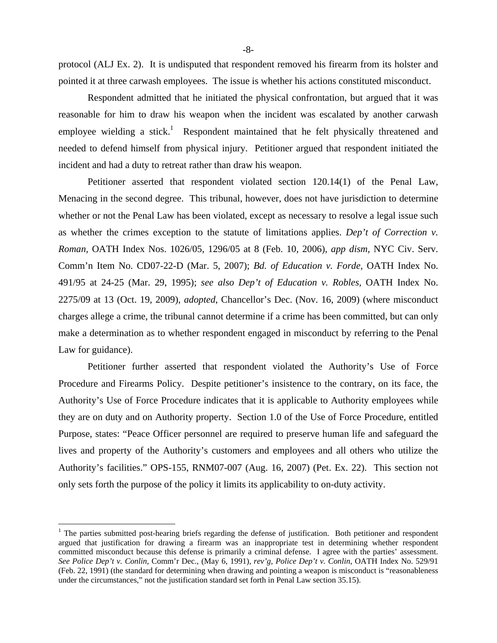protocol (ALJ Ex. 2). It is undisputed that respondent removed his firearm from its holster and pointed it at three carwash employees. The issue is whether his actions constituted misconduct.

 Respondent admitted that he initiated the physical confrontation, but argued that it was reasonable for him to draw his weapon when the incident was escalated by another carwash employee wielding a stick.<sup>1</sup> Respondent maintained that he felt physically threatened and needed to defend himself from physical injury. Petitioner argued that respondent initiated the incident and had a duty to retreat rather than draw his weapon.

Petitioner asserted that respondent violated section 120.14(1) of the Penal Law, Menacing in the second degree. This tribunal, however, does not have jurisdiction to determine whether or not the Penal Law has been violated, except as necessary to resolve a legal issue such as whether the crimes exception to the statute of limitations applies. *Dep't of Correction v. Roman,* OATH Index Nos. 1026/05, 1296/05 at 8 (Feb. 10, 2006), *app dism*, NYC Civ. Serv. Comm'n Item No. CD07-22-D (Mar. 5, 2007); *Bd. of Education v. Forde*, OATH Index No. 491/95 at 24-25 (Mar. 29, 1995); *see also Dep't of Education v. Robles,* OATH Index No. 2275/09 at 13 (Oct. 19, 2009), *adopted*, Chancellor's Dec. (Nov. 16, 2009) (where misconduct charges allege a crime, the tribunal cannot determine if a crime has been committed, but can only make a determination as to whether respondent engaged in misconduct by referring to the Penal Law for guidance).

 Petitioner further asserted that respondent violated the Authority's Use of Force Procedure and Firearms Policy. Despite petitioner's insistence to the contrary, on its face, the Authority's Use of Force Procedure indicates that it is applicable to Authority employees while they are on duty and on Authority property. Section 1.0 of the Use of Force Procedure, entitled Purpose, states: "Peace Officer personnel are required to preserve human life and safeguard the lives and property of the Authority's customers and employees and all others who utilize the Authority's facilities." OPS-155, RNM07-007 (Aug. 16, 2007) (Pet. Ex. 22). This section not only sets forth the purpose of the policy it limits its applicability to on-duty activity.

 $\overline{a}$ 

<sup>&</sup>lt;sup>1</sup> The parties submitted post-hearing briefs regarding the defense of justification. Both petitioner and respondent argued that justification for drawing a firearm was an inappropriate test in determining whether respondent committed misconduct because this defense is primarily a criminal defense. I agree with the parties' assessment. *See Police Dep't v. Conlin*, Comm'r Dec., (May 6, 1991), *rev'g*, *Police Dep't v. Conlin*, OATH Index No. 529/91 (Feb. 22, 1991) (the standard for determining when drawing and pointing a weapon is misconduct is "reasonableness under the circumstances," not the justification standard set forth in Penal Law section 35.15).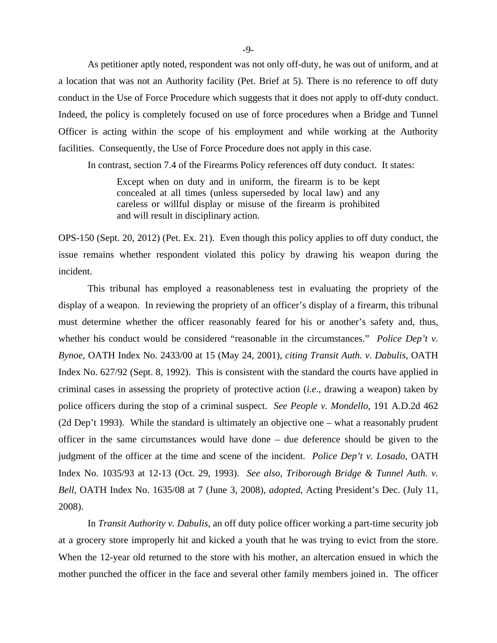As petitioner aptly noted, respondent was not only off-duty, he was out of uniform, and at a location that was not an Authority facility (Pet. Brief at 5). There is no reference to off duty conduct in the Use of Force Procedure which suggests that it does not apply to off-duty conduct. Indeed, the policy is completely focused on use of force procedures when a Bridge and Tunnel Officer is acting within the scope of his employment and while working at the Authority facilities. Consequently, the Use of Force Procedure does not apply in this case.

In contrast, section 7.4 of the Firearms Policy references off duty conduct. It states:

Except when on duty and in uniform, the firearm is to be kept concealed at all times (unless superseded by local law) and any careless or willful display or misuse of the firearm is prohibited and will result in disciplinary action.

OPS-150 (Sept. 20, 2012) (Pet. Ex. 21). Even though this policy applies to off duty conduct, the issue remains whether respondent violated this policy by drawing his weapon during the incident.

This tribunal has employed a reasonableness test in evaluating the propriety of the display of a weapon. In reviewing the propriety of an officer's display of a firearm, this tribunal must determine whether the officer reasonably feared for his or another's safety and, thus, whether his conduct would be considered "reasonable in the circumstances." *Police Dep't v. Bynoe*, OATH Index No. 2433/00 at 15 (May 24, 2001), *citing Transit Auth. v. Dabulis*, OATH Index No. 627/92 (Sept. 8, 1992). This is consistent with the standard the courts have applied in criminal cases in assessing the propriety of protective action (*i.e*., drawing a weapon) taken by police officers during the stop of a criminal suspect. *See People v. Mondello*, 191 A.D.2d 462 (2d Dep't 1993). While the standard is ultimately an objective one – what a reasonably prudent officer in the same circumstances would have done – due deference should be given to the judgment of the officer at the time and scene of the incident. *Police Dep't v. Losado*, OATH Index No. 1035/93 at 12-13 (Oct. 29, 1993). *See also, Triborough Bridge & Tunnel Auth. v. Bell,* OATH Index No. 1635/08 at 7 (June 3, 2008), *adopted*, Acting President's Dec. (July 11, 2008).

In *Transit Authority v. Dabulis*, an off duty police officer working a part-time security job at a grocery store improperly hit and kicked a youth that he was trying to evict from the store. When the 12-year old returned to the store with his mother, an altercation ensued in which the mother punched the officer in the face and several other family members joined in. The officer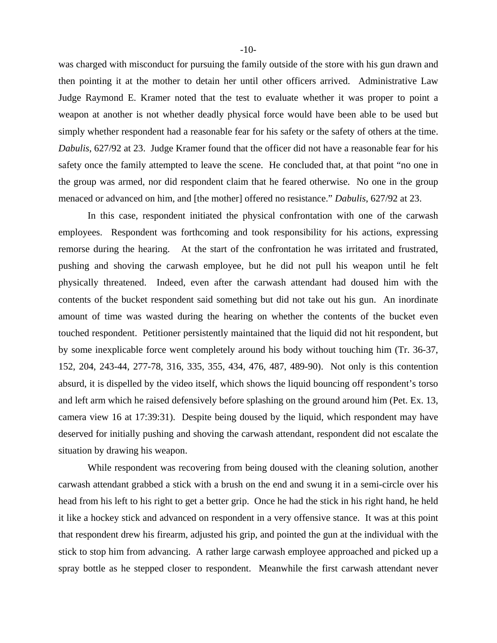was charged with misconduct for pursuing the family outside of the store with his gun drawn and then pointing it at the mother to detain her until other officers arrived. Administrative Law Judge Raymond E. Kramer noted that the test to evaluate whether it was proper to point a weapon at another is not whether deadly physical force would have been able to be used but simply whether respondent had a reasonable fear for his safety or the safety of others at the time. *Dabulis*, 627/92 at 23. Judge Kramer found that the officer did not have a reasonable fear for his safety once the family attempted to leave the scene. He concluded that, at that point "no one in the group was armed, nor did respondent claim that he feared otherwise. No one in the group menaced or advanced on him, and [the mother] offered no resistance." *Dabulis*, 627/92 at 23.

In this case, respondent initiated the physical confrontation with one of the carwash employees. Respondent was forthcoming and took responsibility for his actions, expressing remorse during the hearing. At the start of the confrontation he was irritated and frustrated, pushing and shoving the carwash employee, but he did not pull his weapon until he felt physically threatened. Indeed, even after the carwash attendant had doused him with the contents of the bucket respondent said something but did not take out his gun. An inordinate amount of time was wasted during the hearing on whether the contents of the bucket even touched respondent. Petitioner persistently maintained that the liquid did not hit respondent, but by some inexplicable force went completely around his body without touching him (Tr. 36-37, 152, 204, 243-44, 277-78, 316, 335, 355, 434, 476, 487, 489-90). Not only is this contention absurd, it is dispelled by the video itself, which shows the liquid bouncing off respondent's torso and left arm which he raised defensively before splashing on the ground around him (Pet. Ex. 13, camera view 16 at 17:39:31). Despite being doused by the liquid, which respondent may have deserved for initially pushing and shoving the carwash attendant, respondent did not escalate the situation by drawing his weapon.

While respondent was recovering from being doused with the cleaning solution, another carwash attendant grabbed a stick with a brush on the end and swung it in a semi-circle over his head from his left to his right to get a better grip. Once he had the stick in his right hand, he held it like a hockey stick and advanced on respondent in a very offensive stance. It was at this point that respondent drew his firearm, adjusted his grip, and pointed the gun at the individual with the stick to stop him from advancing. A rather large carwash employee approached and picked up a spray bottle as he stepped closer to respondent. Meanwhile the first carwash attendant never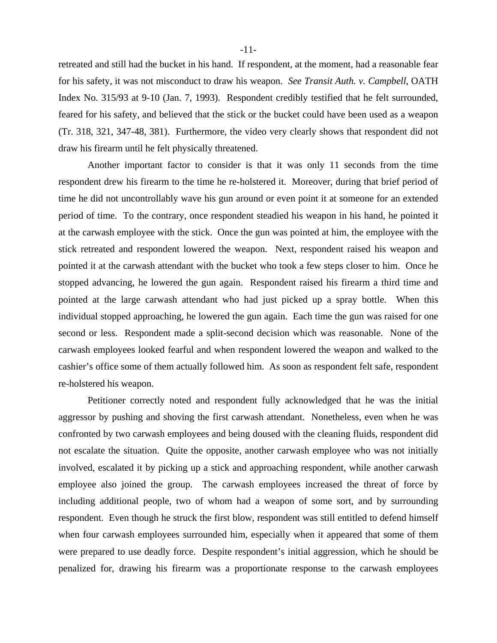retreated and still had the bucket in his hand. If respondent, at the moment, had a reasonable fear for his safety, it was not misconduct to draw his weapon. *See Transit Auth. v. Campbell*, OATH Index No. 315/93 at 9-10 (Jan. 7, 1993). Respondent credibly testified that he felt surrounded, feared for his safety, and believed that the stick or the bucket could have been used as a weapon (Tr. 318, 321, 347-48, 381). Furthermore, the video very clearly shows that respondent did not draw his firearm until he felt physically threatened.

 Another important factor to consider is that it was only 11 seconds from the time respondent drew his firearm to the time he re-holstered it. Moreover, during that brief period of time he did not uncontrollably wave his gun around or even point it at someone for an extended period of time. To the contrary, once respondent steadied his weapon in his hand, he pointed it at the carwash employee with the stick. Once the gun was pointed at him, the employee with the stick retreated and respondent lowered the weapon. Next, respondent raised his weapon and pointed it at the carwash attendant with the bucket who took a few steps closer to him. Once he stopped advancing, he lowered the gun again. Respondent raised his firearm a third time and pointed at the large carwash attendant who had just picked up a spray bottle. When this individual stopped approaching, he lowered the gun again. Each time the gun was raised for one second or less. Respondent made a split-second decision which was reasonable. None of the carwash employees looked fearful and when respondent lowered the weapon and walked to the cashier's office some of them actually followed him. As soon as respondent felt safe, respondent re-holstered his weapon.

 Petitioner correctly noted and respondent fully acknowledged that he was the initial aggressor by pushing and shoving the first carwash attendant. Nonetheless, even when he was confronted by two carwash employees and being doused with the cleaning fluids, respondent did not escalate the situation. Quite the opposite, another carwash employee who was not initially involved, escalated it by picking up a stick and approaching respondent, while another carwash employee also joined the group. The carwash employees increased the threat of force by including additional people, two of whom had a weapon of some sort, and by surrounding respondent. Even though he struck the first blow, respondent was still entitled to defend himself when four carwash employees surrounded him, especially when it appeared that some of them were prepared to use deadly force. Despite respondent's initial aggression, which he should be penalized for, drawing his firearm was a proportionate response to the carwash employees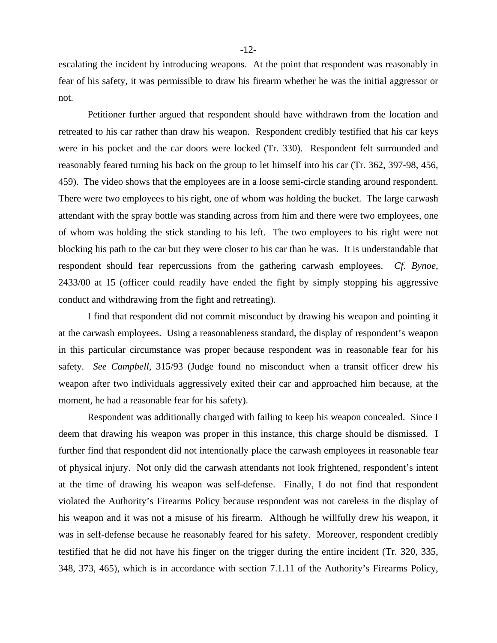escalating the incident by introducing weapons. At the point that respondent was reasonably in fear of his safety, it was permissible to draw his firearm whether he was the initial aggressor or not.

 Petitioner further argued that respondent should have withdrawn from the location and retreated to his car rather than draw his weapon. Respondent credibly testified that his car keys were in his pocket and the car doors were locked (Tr. 330). Respondent felt surrounded and reasonably feared turning his back on the group to let himself into his car (Tr. 362, 397-98, 456, 459). The video shows that the employees are in a loose semi-circle standing around respondent. There were two employees to his right, one of whom was holding the bucket. The large carwash attendant with the spray bottle was standing across from him and there were two employees, one of whom was holding the stick standing to his left. The two employees to his right were not blocking his path to the car but they were closer to his car than he was. It is understandable that respondent should fear repercussions from the gathering carwash employees. *Cf. Bynoe*, 2433/00 at 15 (officer could readily have ended the fight by simply stopping his aggressive conduct and withdrawing from the fight and retreating).

 I find that respondent did not commit misconduct by drawing his weapon and pointing it at the carwash employees. Using a reasonableness standard, the display of respondent's weapon in this particular circumstance was proper because respondent was in reasonable fear for his safety. *See Campbell*, 315/93 (Judge found no misconduct when a transit officer drew his weapon after two individuals aggressively exited their car and approached him because, at the moment, he had a reasonable fear for his safety).

 Respondent was additionally charged with failing to keep his weapon concealed. Since I deem that drawing his weapon was proper in this instance, this charge should be dismissed. I further find that respondent did not intentionally place the carwash employees in reasonable fear of physical injury. Not only did the carwash attendants not look frightened, respondent's intent at the time of drawing his weapon was self-defense. Finally, I do not find that respondent violated the Authority's Firearms Policy because respondent was not careless in the display of his weapon and it was not a misuse of his firearm. Although he willfully drew his weapon, it was in self-defense because he reasonably feared for his safety. Moreover, respondent credibly testified that he did not have his finger on the trigger during the entire incident (Tr. 320, 335, 348, 373, 465), which is in accordance with section 7.1.11 of the Authority's Firearms Policy,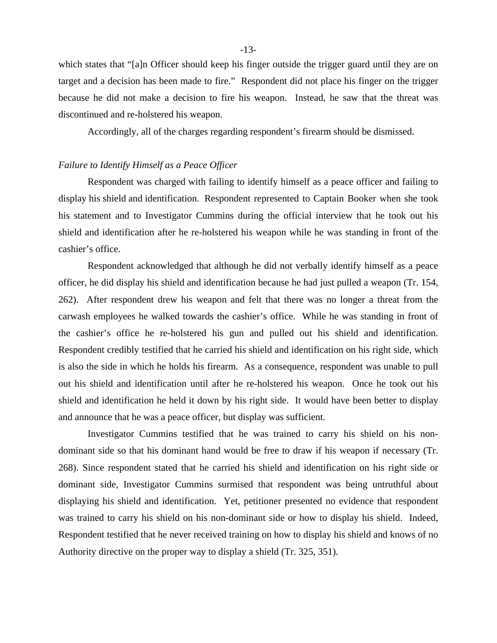which states that "[a]n Officer should keep his finger outside the trigger guard until they are on target and a decision has been made to fire." Respondent did not place his finger on the trigger because he did not make a decision to fire his weapon. Instead, he saw that the threat was discontinued and re-holstered his weapon.

Accordingly, all of the charges regarding respondent's firearm should be dismissed.

#### *Failure to Identify Himself as a Peace Officer*

 Respondent was charged with failing to identify himself as a peace officer and failing to display his shield and identification. Respondent represented to Captain Booker when she took his statement and to Investigator Cummins during the official interview that he took out his shield and identification after he re-holstered his weapon while he was standing in front of the cashier's office.

Respondent acknowledged that although he did not verbally identify himself as a peace officer, he did display his shield and identification because he had just pulled a weapon (Tr. 154, 262). After respondent drew his weapon and felt that there was no longer a threat from the carwash employees he walked towards the cashier's office. While he was standing in front of the cashier's office he re-holstered his gun and pulled out his shield and identification. Respondent credibly testified that he carried his shield and identification on his right side, which is also the side in which he holds his firearm. As a consequence, respondent was unable to pull out his shield and identification until after he re-holstered his weapon. Once he took out his shield and identification he held it down by his right side. It would have been better to display and announce that he was a peace officer, but display was sufficient.

Investigator Cummins testified that he was trained to carry his shield on his nondominant side so that his dominant hand would be free to draw if his weapon if necessary (Tr. 268). Since respondent stated that he carried his shield and identification on his right side or dominant side, Investigator Cummins surmised that respondent was being untruthful about displaying his shield and identification. Yet, petitioner presented no evidence that respondent was trained to carry his shield on his non-dominant side or how to display his shield. Indeed, Respondent testified that he never received training on how to display his shield and knows of no Authority directive on the proper way to display a shield (Tr. 325, 351).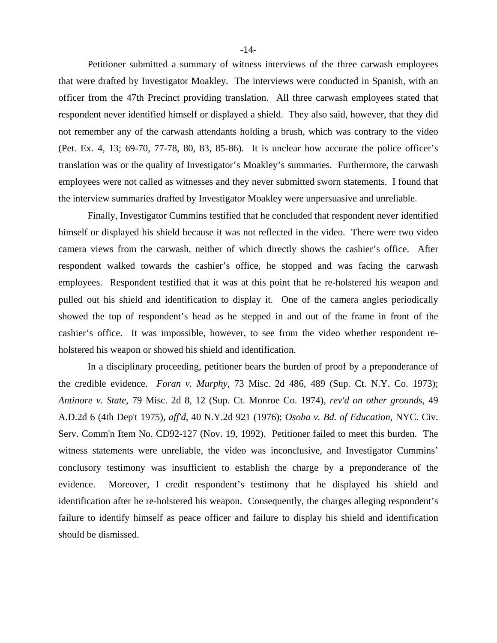Petitioner submitted a summary of witness interviews of the three carwash employees that were drafted by Investigator Moakley. The interviews were conducted in Spanish, with an officer from the 47th Precinct providing translation. All three carwash employees stated that respondent never identified himself or displayed a shield. They also said, however, that they did not remember any of the carwash attendants holding a brush, which was contrary to the video (Pet. Ex. 4, 13; 69-70, 77-78, 80, 83, 85-86). It is unclear how accurate the police officer's translation was or the quality of Investigator's Moakley's summaries. Furthermore, the carwash employees were not called as witnesses and they never submitted sworn statements. I found that the interview summaries drafted by Investigator Moakley were unpersuasive and unreliable.

Finally, Investigator Cummins testified that he concluded that respondent never identified himself or displayed his shield because it was not reflected in the video. There were two video camera views from the carwash, neither of which directly shows the cashier's office. After respondent walked towards the cashier's office, he stopped and was facing the carwash employees. Respondent testified that it was at this point that he re-holstered his weapon and pulled out his shield and identification to display it. One of the camera angles periodically showed the top of respondent's head as he stepped in and out of the frame in front of the cashier's office. It was impossible, however, to see from the video whether respondent reholstered his weapon or showed his shield and identification.

In a disciplinary proceeding, petitioner bears the burden of proof by a preponderance of the credible evidence. *Foran v. Murphy*, 73 Misc. 2d 486, 489 (Sup. Ct. N.Y. Co. 1973); *Antinore v. State*, 79 Misc. 2d 8, 12 (Sup. Ct. Monroe Co. 1974), *rev'd on other grounds*, 49 A.D.2d 6 (4th Dep't 1975), *aff'd,* 40 N.Y.2d 921 (1976); *Osoba v. Bd. of Education*, NYC. Civ. Serv. Comm'n Item No. CD92-127 (Nov. 19, 1992). Petitioner failed to meet this burden. The witness statements were unreliable, the video was inconclusive, and Investigator Cummins' conclusory testimony was insufficient to establish the charge by a preponderance of the evidence. Moreover, I credit respondent's testimony that he displayed his shield and identification after he re-holstered his weapon. Consequently, the charges alleging respondent's failure to identify himself as peace officer and failure to display his shield and identification should be dismissed.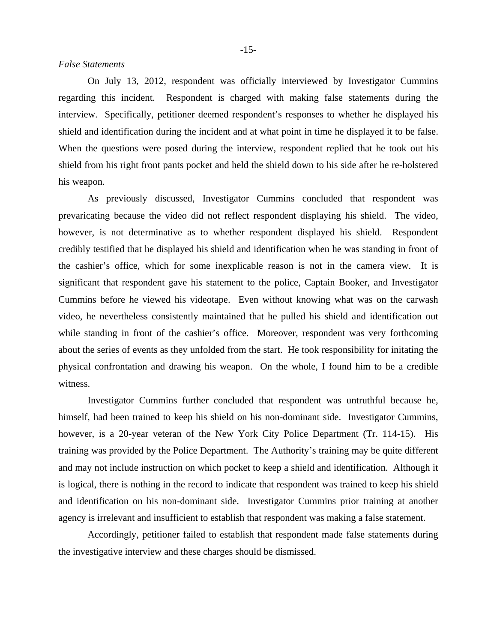On July 13, 2012, respondent was officially interviewed by Investigator Cummins regarding this incident. Respondent is charged with making false statements during the interview. Specifically, petitioner deemed respondent's responses to whether he displayed his shield and identification during the incident and at what point in time he displayed it to be false. When the questions were posed during the interview, respondent replied that he took out his shield from his right front pants pocket and held the shield down to his side after he re-holstered his weapon.

 As previously discussed, Investigator Cummins concluded that respondent was prevaricating because the video did not reflect respondent displaying his shield. The video, however, is not determinative as to whether respondent displayed his shield. Respondent credibly testified that he displayed his shield and identification when he was standing in front of the cashier's office, which for some inexplicable reason is not in the camera view. It is significant that respondent gave his statement to the police, Captain Booker, and Investigator Cummins before he viewed his videotape. Even without knowing what was on the carwash video, he nevertheless consistently maintained that he pulled his shield and identification out while standing in front of the cashier's office. Moreover, respondent was very forthcoming about the series of events as they unfolded from the start. He took responsibility for initating the physical confrontation and drawing his weapon. On the whole, I found him to be a credible witness.

Investigator Cummins further concluded that respondent was untruthful because he, himself, had been trained to keep his shield on his non-dominant side. Investigator Cummins, however, is a 20-year veteran of the New York City Police Department (Tr. 114-15). His training was provided by the Police Department. The Authority's training may be quite different and may not include instruction on which pocket to keep a shield and identification. Although it is logical, there is nothing in the record to indicate that respondent was trained to keep his shield and identification on his non-dominant side. Investigator Cummins prior training at another agency is irrelevant and insufficient to establish that respondent was making a false statement.

Accordingly, petitioner failed to establish that respondent made false statements during the investigative interview and these charges should be dismissed.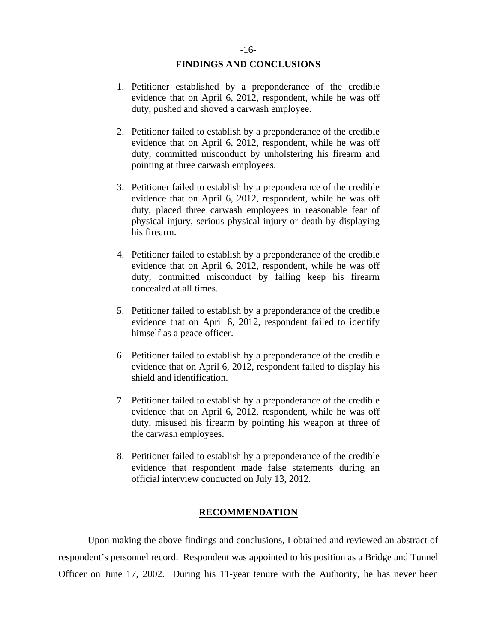## **FINDINGS AND CONCLUSIONS**

- 1. Petitioner established by a preponderance of the credible evidence that on April 6, 2012, respondent, while he was off duty, pushed and shoved a carwash employee.
- 2. Petitioner failed to establish by a preponderance of the credible evidence that on April 6, 2012, respondent, while he was off duty, committed misconduct by unholstering his firearm and pointing at three carwash employees.
- 3. Petitioner failed to establish by a preponderance of the credible evidence that on April 6, 2012, respondent, while he was off duty, placed three carwash employees in reasonable fear of physical injury, serious physical injury or death by displaying his firearm.
- 4. Petitioner failed to establish by a preponderance of the credible evidence that on April 6, 2012, respondent, while he was off duty, committed misconduct by failing keep his firearm concealed at all times.
- 5. Petitioner failed to establish by a preponderance of the credible evidence that on April 6, 2012, respondent failed to identify himself as a peace officer.
- 6. Petitioner failed to establish by a preponderance of the credible evidence that on April 6, 2012, respondent failed to display his shield and identification.
- 7. Petitioner failed to establish by a preponderance of the credible evidence that on April 6, 2012, respondent, while he was off duty, misused his firearm by pointing his weapon at three of the carwash employees.
- 8. Petitioner failed to establish by a preponderance of the credible evidence that respondent made false statements during an official interview conducted on July 13, 2012.

#### **RECOMMENDATION**

 Upon making the above findings and conclusions, I obtained and reviewed an abstract of respondent's personnel record. Respondent was appointed to his position as a Bridge and Tunnel Officer on June 17, 2002. During his 11-year tenure with the Authority, he has never been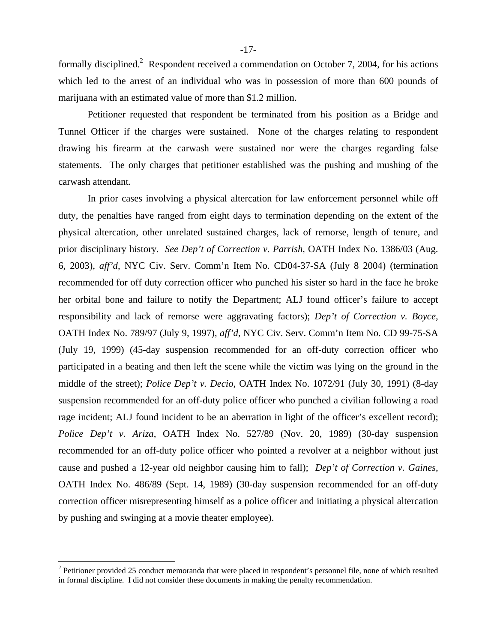formally disciplined.<sup>2</sup> Respondent received a commendation on October 7, 2004, for his actions which led to the arrest of an individual who was in possession of more than 600 pounds of marijuana with an estimated value of more than \$1.2 million.

Petitioner requested that respondent be terminated from his position as a Bridge and Tunnel Officer if the charges were sustained. None of the charges relating to respondent drawing his firearm at the carwash were sustained nor were the charges regarding false statements. The only charges that petitioner established was the pushing and mushing of the carwash attendant.

In prior cases involving a physical altercation for law enforcement personnel while off duty, the penalties have ranged from eight days to termination depending on the extent of the physical altercation, other unrelated sustained charges, lack of remorse, length of tenure, and prior disciplinary history. *See Dep't of Correction v. Parrish*, OATH Index No. 1386/03 (Aug. 6, 2003), *aff'd*, NYC Civ. Serv. Comm'n Item No. CD04-37-SA (July 8 2004) (termination recommended for off duty correction officer who punched his sister so hard in the face he broke her orbital bone and failure to notify the Department; ALJ found officer's failure to accept responsibility and lack of remorse were aggravating factors); *Dep't of Correction v. Boyce*, OATH Index No. 789/97 (July 9, 1997), *aff'd*, NYC Civ. Serv. Comm'n Item No. CD 99-75-SA (July 19, 1999) (45-day suspension recommended for an off-duty correction officer who participated in a beating and then left the scene while the victim was lying on the ground in the middle of the street); *Police Dep't v. Decio*, OATH Index No. 1072/91 (July 30, 1991) (8-day suspension recommended for an off-duty police officer who punched a civilian following a road rage incident; ALJ found incident to be an aberration in light of the officer's excellent record); *Police Dep't v. Ariza*, OATH Index No. 527/89 (Nov. 20, 1989) (30-day suspension recommended for an off-duty police officer who pointed a revolver at a neighbor without just cause and pushed a 12-year old neighbor causing him to fall); *Dep't of Correction v. Gaines*, OATH Index No. 486/89 (Sept. 14, 1989) (30-day suspension recommended for an off-duty correction officer misrepresenting himself as a police officer and initiating a physical altercation by pushing and swinging at a movie theater employee).

1

 $2^2$  Petitioner provided 25 conduct memoranda that were placed in respondent's personnel file, none of which resulted in formal discipline. I did not consider these documents in making the penalty recommendation.